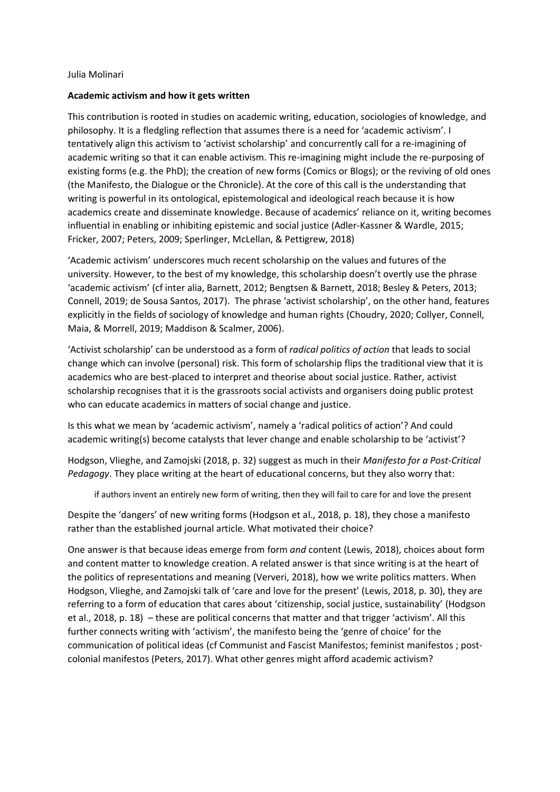## Julia Molinari

## **Academic activism and how it gets written**

This contribution is rooted in studies on academic writing, education, sociologies of knowledge, and philosophy. It is a fledgling reflection that assumes there is a need for 'academic activism'. I tentatively align this activism to 'activist scholarship' and concurrently call for a re-imagining of academic writing so that it can enable activism. This re-imagining might include the re-purposing of existing forms (e.g. the PhD); the creation of new forms (Comics or Blogs); or the reviving of old ones (the Manifesto, the Dialogue or the Chronicle). At the core of this call is the understanding that writing is powerful in its ontological, epistemological and ideological reach because it is how academics create and disseminate knowledge. Because of academics' reliance on it, writing becomes influential in enabling or inhibiting epistemic and social justice (Adler-Kassner & Wardle, 2015; Fricker, 2007; Peters, 2009; Sperlinger, McLellan, & Pettigrew, 2018)

'Academic activism' underscores much recent scholarship on the values and futures of the university. However, to the best of my knowledge, this scholarship doesn't overtly use the phrase 'academic activism' (cf inter alia, Barnett, 2012; Bengtsen & Barnett, 2018; Besley & Peters, 2013; Connell, 2019; de Sousa Santos, 2017). The phrase 'activist scholarship', on the other hand, features explicitly in the fields of sociology of knowledge and human rights (Choudry, 2020; Collyer, Connell, Maia, & Morrell, 2019; Maddison & Scalmer, 2006).

'Activist scholarship' can be understood as a form of *radical politics of action* that leads to social change which can involve (personal) risk. This form of scholarship flips the traditional view that it is academics who are best-placed to interpret and theorise about social justice. Rather, activist scholarship recognises that it is the grassroots social activists and organisers doing public protest who can educate academics in matters of social change and justice.

Is this what we mean by 'academic activism', namely a 'radical politics of action'? And could academic writing(s) become catalysts that lever change and enable scholarship to be 'activist'?

Hodgson, Vlieghe, and Zamojski (2018, p. 32) suggest as much in their *Manifesto for a Post-Critical Pedagogy*. They place writing at the heart of educational concerns, but they also worry that:

if authors invent an entirely new form of writing, then they will fail to care for and love the present

Despite the 'dangers' of new writing forms (Hodgson et al., 2018, p. 18), they chose a manifesto rather than the established journal article. What motivated their choice?

One answer is that because ideas emerge from form *and* content (Lewis, 2018), choices about form and content matter to knowledge creation. A related answer is that since writing is at the heart of the politics of representations and meaning (Ververi, 2018), how we write politics matters. When Hodgson, Vlieghe, and Zamojski talk of 'care and love for the present' (Lewis, 2018, p. 30), they are referring to a form of education that cares about 'citizenship, social justice, sustainability' (Hodgson et al., 2018, p. 18) – these are political concerns that matter and that trigger 'activism'. All this further connects writing with 'activism', the manifesto being the 'genre of choice' for the communication of political ideas (cf Communist and Fascist Manifestos; feminist manifestos ; postcolonial manifestos (Peters, 2017). What other genres might afford academic activism?